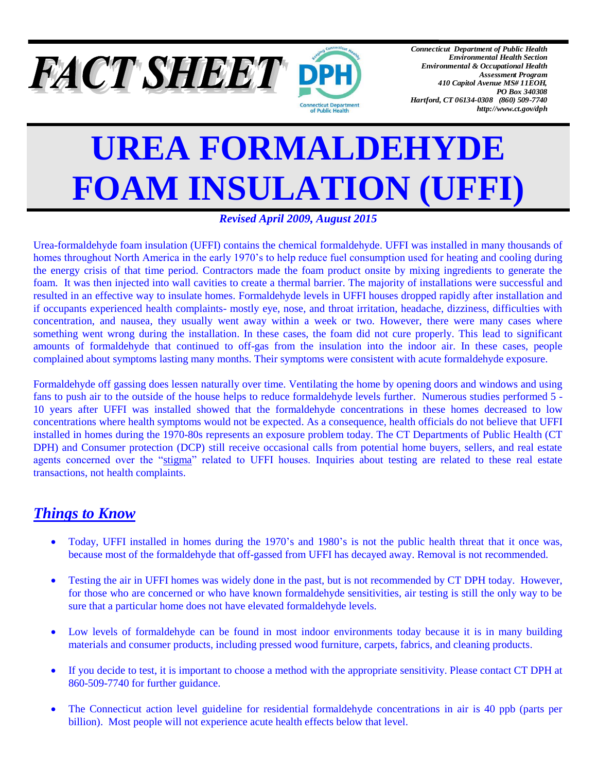

*Connecticut Department of Public Health Environmental Health Section Environmental & Occupational Health Assessment Program 410 Capitol Avenue MS# 11EOH, PO Box 340308 Hartford, CT 06134-0308 (860) 509-7740 http://www.ct.gov/dph*

# **UREA FORMALDEHYDE FOAM INSULATION (UFFI)**

## *Revised April 2009, August 2015*

Urea-formaldehyde foam insulation (UFFI) contains the chemical formaldehyde. UFFI was installed in many thousands of homes throughout North America in the early 1970's to help reduce fuel consumption used for heating and cooling during the energy crisis of that time period. Contractors made the foam product onsite by mixing ingredients to generate the foam. It was then injected into wall cavities to create a thermal barrier. The majority of installations were successful and resulted in an effective way to insulate homes. Formaldehyde levels in UFFI houses dropped rapidly after installation and if occupants experienced health complaints- mostly eye, nose, and throat irritation, headache, dizziness, difficulties with concentration, and nausea, they usually went away within a week or two. However, there were many cases where something went wrong during the installation. In these cases, the foam did not cure properly. This lead to significant amounts of formaldehyde that continued to off-gas from the insulation into the indoor air. In these cases, people complained about symptoms lasting many months. Their symptoms were consistent with acute formaldehyde exposure.

Formaldehyde off gassing does lessen naturally over time. Ventilating the home by opening doors and windows and using fans to push air to the outside of the house helps to reduce formaldehyde levels further. Numerous studies performed 5 - 10 years after UFFI was installed showed that the formaldehyde concentrations in these homes decreased to low concentrations where health symptoms would not be expected. As a consequence, health officials do not believe that UFFI installed in homes during the 1970-80s represents an exposure problem today. The CT Departments of Public Health (CT DPH) and Consumer protection (DCP) still receive occasional calls from potential home buyers, sellers, and real estate agents concerned over the "stigma" related to UFFI houses. Inquiries about testing are related to these real estate transactions, not health complaints.

# *Things to Know*

- Today, UFFI installed in homes during the 1970's and 1980's is not the public health threat that it once was, because most of the formaldehyde that off-gassed from UFFI has decayed away. Removal is not recommended.
- Testing the air in UFFI homes was widely done in the past, but is not recommended by CT DPH today. However, for those who are concerned or who have known formaldehyde sensitivities, air testing is still the only way to be sure that a particular home does not have elevated formaldehyde levels.
- Low levels of formaldehyde can be found in most indoor environments today because it is in many building materials and consumer products, including pressed wood furniture, carpets, fabrics, and cleaning products.
- If you decide to test, it is important to choose a method with the appropriate sensitivity. Please contact CT DPH at 860-509-7740 for further guidance.
- The Connecticut action level guideline for residential formaldehyde concentrations in air is 40 ppb (parts per billion). Most people will not experience acute health effects below that level.